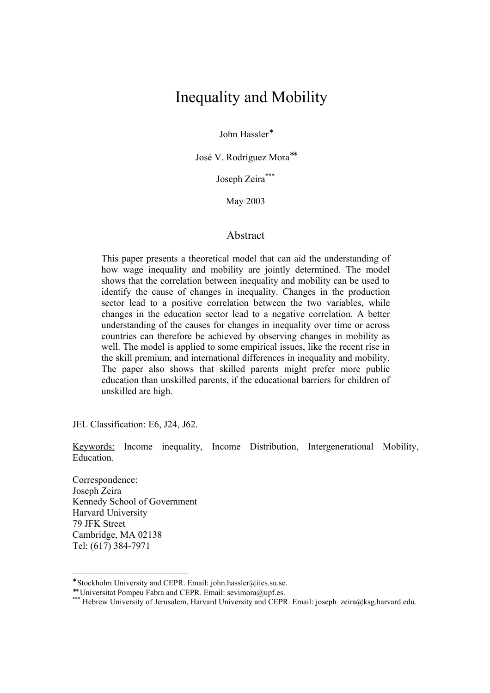# Inequality and Mobility

John Hassler<sup>∗</sup>

José V. Rodríguez Mora<sup>\*\*</sup>

Joseph Zeira\*\*\*

May 2003

# Abstract

This paper presents a theoretical model that can aid the understanding of how wage inequality and mobility are jointly determined. The model shows that the correlation between inequality and mobility can be used to identify the cause of changes in inequality. Changes in the production sector lead to a positive correlation between the two variables, while changes in the education sector lead to a negative correlation. A better understanding of the causes for changes in inequality over time or across countries can therefore be achieved by observing changes in mobility as well. The model is applied to some empirical issues, like the recent rise in the skill premium, and international differences in inequality and mobility. The paper also shows that skilled parents might prefer more public education than unskilled parents, if the educational barriers for children of unskilled are high.

JEL Classification: E6, J24, J62.

Keywords: Income inequality, Income Distribution, Intergenerational Mobility, Education.

Correspondence: Joseph Zeira Kennedy School of Government Harvard University 79 JFK Street Cambridge, MA 02138 Tel: (617) 384-7971

<sup>∗</sup> Stockholm University and CEPR. Email: john.hassler@iies.su.se.

<sup>∗∗</sup> Universitat Pompeu Fabra and CEPR. Email: sevimora@upf.es.

<sup>\*\*\*</sup> Hebrew University of Jerusalem, Harvard University and CEPR. Email: joseph\_zeira@ksg.harvard.edu.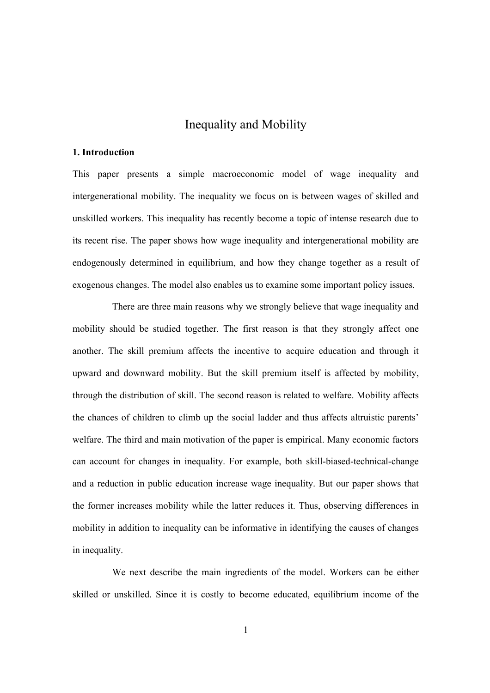# Inequality and Mobility

#### **1. Introduction**

This paper presents a simple macroeconomic model of wage inequality and intergenerational mobility. The inequality we focus on is between wages of skilled and unskilled workers. This inequality has recently become a topic of intense research due to its recent rise. The paper shows how wage inequality and intergenerational mobility are endogenously determined in equilibrium, and how they change together as a result of exogenous changes. The model also enables us to examine some important policy issues.

There are three main reasons why we strongly believe that wage inequality and mobility should be studied together. The first reason is that they strongly affect one another. The skill premium affects the incentive to acquire education and through it upward and downward mobility. But the skill premium itself is affected by mobility, through the distribution of skill. The second reason is related to welfare. Mobility affects the chances of children to climb up the social ladder and thus affects altruistic parents' welfare. The third and main motivation of the paper is empirical. Many economic factors can account for changes in inequality. For example, both skill-biased-technical-change and a reduction in public education increase wage inequality. But our paper shows that the former increases mobility while the latter reduces it. Thus, observing differences in mobility in addition to inequality can be informative in identifying the causes of changes in inequality.

We next describe the main ingredients of the model. Workers can be either skilled or unskilled. Since it is costly to become educated, equilibrium income of the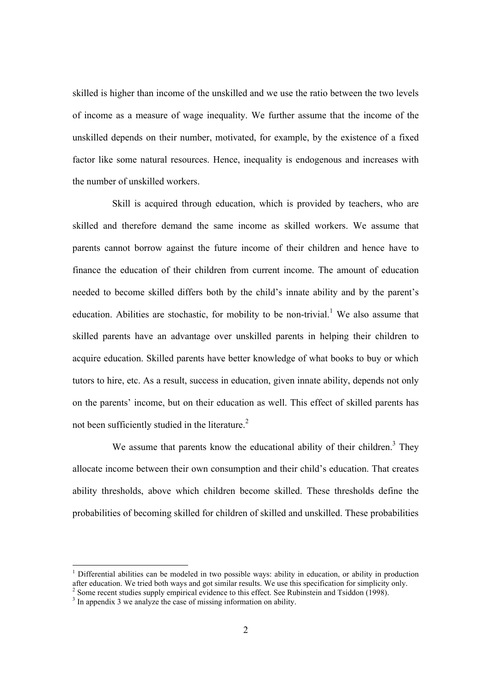skilled is higher than income of the unskilled and we use the ratio between the two levels of income as a measure of wage inequality. We further assume that the income of the unskilled depends on their number, motivated, for example, by the existence of a fixed factor like some natural resources. Hence, inequality is endogenous and increases with the number of unskilled workers.

Skill is acquired through education, which is provided by teachers, who are skilled and therefore demand the same income as skilled workers. We assume that parents cannot borrow against the future income of their children and hence have to finance the education of their children from current income. The amount of education needed to become skilled differs both by the child's innate ability and by the parent's education. Abilities are stochastic, for mobility to be non-trivial.<sup>1</sup> We also assume that skilled parents have an advantage over unskilled parents in helping their children to acquire education. Skilled parents have better knowledge of what books to buy or which tutors to hire, etc. As a result, success in education, given innate ability, depends not only on the parents' income, but on their education as well. This effect of skilled parents has not been sufficiently studied in the literature. $2$ 

We assume that parents know the educational ability of their children.<sup>3</sup> They allocate income between their own consumption and their child's education. That creates ability thresholds, above which children become skilled. These thresholds define the probabilities of becoming skilled for children of skilled and unskilled. These probabilities

<sup>1</sup> Differential abilities can be modeled in two possible ways: ability in education, or ability in production after education. We tried both ways and got similar results. We use this specification for simplicity only.

 $2$  Some recent studies supply empirical evidence to this effect. See Rubinstein and Tsiddon (1998).

<sup>&</sup>lt;sup>3</sup> In appendix 3 we analyze the case of missing information on ability.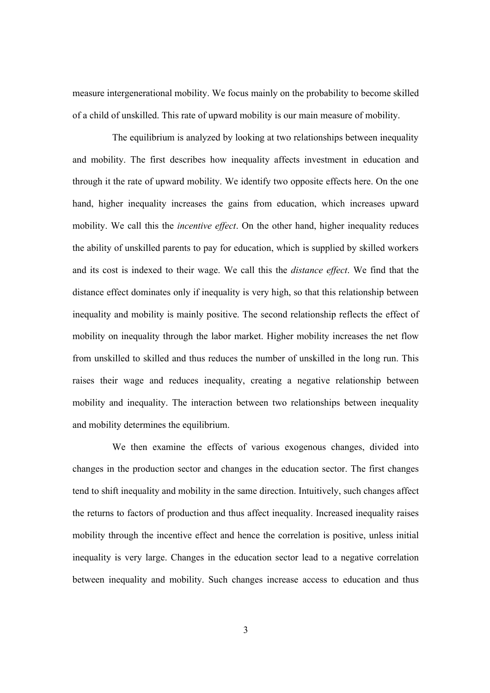measure intergenerational mobility. We focus mainly on the probability to become skilled of a child of unskilled. This rate of upward mobility is our main measure of mobility.

The equilibrium is analyzed by looking at two relationships between inequality and mobility. The first describes how inequality affects investment in education and through it the rate of upward mobility. We identify two opposite effects here. On the one hand, higher inequality increases the gains from education, which increases upward mobility. We call this the *incentive effect*. On the other hand, higher inequality reduces the ability of unskilled parents to pay for education, which is supplied by skilled workers and its cost is indexed to their wage. We call this the *distance effect*. We find that the distance effect dominates only if inequality is very high, so that this relationship between inequality and mobility is mainly positive. The second relationship reflects the effect of mobility on inequality through the labor market. Higher mobility increases the net flow from unskilled to skilled and thus reduces the number of unskilled in the long run. This raises their wage and reduces inequality, creating a negative relationship between mobility and inequality. The interaction between two relationships between inequality and mobility determines the equilibrium.

We then examine the effects of various exogenous changes, divided into changes in the production sector and changes in the education sector. The first changes tend to shift inequality and mobility in the same direction. Intuitively, such changes affect the returns to factors of production and thus affect inequality. Increased inequality raises mobility through the incentive effect and hence the correlation is positive, unless initial inequality is very large. Changes in the education sector lead to a negative correlation between inequality and mobility. Such changes increase access to education and thus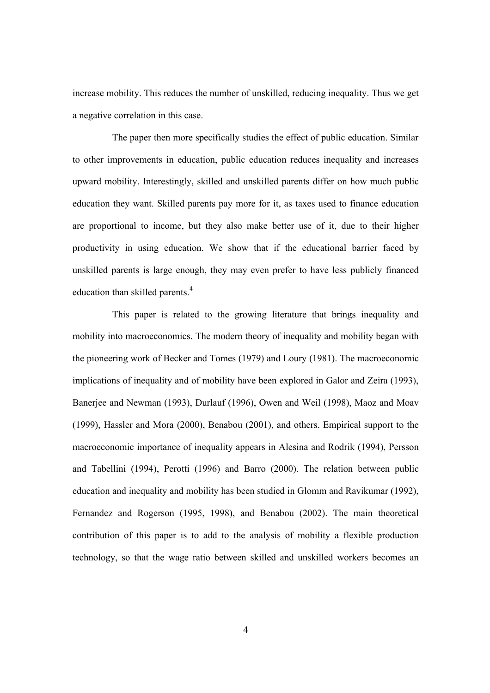increase mobility. This reduces the number of unskilled, reducing inequality. Thus we get a negative correlation in this case.

The paper then more specifically studies the effect of public education. Similar to other improvements in education, public education reduces inequality and increases upward mobility. Interestingly, skilled and unskilled parents differ on how much public education they want. Skilled parents pay more for it, as taxes used to finance education are proportional to income, but they also make better use of it, due to their higher productivity in using education. We show that if the educational barrier faced by unskilled parents is large enough, they may even prefer to have less publicly financed education than skilled parents.<sup>4</sup>

This paper is related to the growing literature that brings inequality and mobility into macroeconomics. The modern theory of inequality and mobility began with the pioneering work of Becker and Tomes (1979) and Loury (1981). The macroeconomic implications of inequality and of mobility have been explored in Galor and Zeira (1993), Banerjee and Newman (1993), Durlauf (1996), Owen and Weil (1998), Maoz and Moav (1999), Hassler and Mora (2000), Benabou (2001), and others. Empirical support to the macroeconomic importance of inequality appears in Alesina and Rodrik (1994), Persson and Tabellini (1994), Perotti (1996) and Barro (2000). The relation between public education and inequality and mobility has been studied in Glomm and Ravikumar (1992), Fernandez and Rogerson (1995, 1998), and Benabou (2002). The main theoretical contribution of this paper is to add to the analysis of mobility a flexible production technology, so that the wage ratio between skilled and unskilled workers becomes an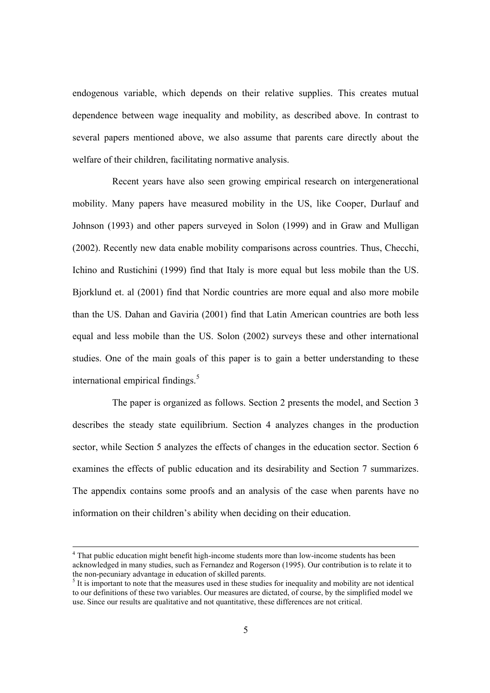endogenous variable, which depends on their relative supplies. This creates mutual dependence between wage inequality and mobility, as described above. In contrast to several papers mentioned above, we also assume that parents care directly about the welfare of their children, facilitating normative analysis.

Recent years have also seen growing empirical research on intergenerational mobility. Many papers have measured mobility in the US, like Cooper, Durlauf and Johnson (1993) and other papers surveyed in Solon (1999) and in Graw and Mulligan (2002). Recently new data enable mobility comparisons across countries. Thus, Checchi, Ichino and Rustichini (1999) find that Italy is more equal but less mobile than the US. Bjorklund et. al (2001) find that Nordic countries are more equal and also more mobile than the US. Dahan and Gaviria (2001) find that Latin American countries are both less equal and less mobile than the US. Solon (2002) surveys these and other international studies. One of the main goals of this paper is to gain a better understanding to these international empirical findings.<sup>5</sup>

The paper is organized as follows. Section 2 presents the model, and Section 3 describes the steady state equilibrium. Section 4 analyzes changes in the production sector, while Section 5 analyzes the effects of changes in the education sector. Section 6 examines the effects of public education and its desirability and Section 7 summarizes. The appendix contains some proofs and an analysis of the case when parents have no information on their children's ability when deciding on their education.

<sup>&</sup>lt;sup>4</sup> That public education might benefit high-income students more than low-income students has been acknowledged in many studies, such as Fernandez and Rogerson (1995). Our contribution is to relate it to the non-pecuniary advantage in education of skilled parents.

 $<sup>5</sup>$  It is important to note that the measures used in these studies for inequality and mobility are not identical</sup> to our definitions of these two variables. Our measures are dictated, of course, by the simplified model we use. Since our results are qualitative and not quantitative, these differences are not critical.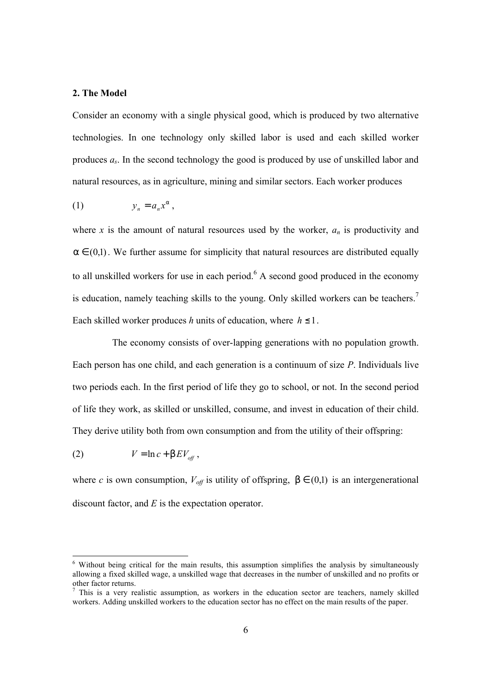# **2. The Model**

Consider an economy with a single physical good, which is produced by two alternative technologies. In one technology only skilled labor is used and each skilled worker produces *as*. In the second technology the good is produced by use of unskilled labor and natural resources, as in agriculture, mining and similar sectors. Each worker produces

$$
(1) \t y_n = a_n x^a,
$$

where *x* is the amount of natural resources used by the worker,  $a_n$  is productivity and  $a \in (0,1)$ . We further assume for simplicity that natural resources are distributed equally to all unskilled workers for use in each period. $6$  A second good produced in the economy is education, namely teaching skills to the young. Only skilled workers can be teachers.<sup>7</sup> Each skilled worker produces *h* units of education, where  $h \leq 1$ .

The economy consists of over-lapping generations with no population growth. Each person has one child, and each generation is a continuum of size *P*. Individuals live two periods each. In the first period of life they go to school, or not. In the second period of life they work, as skilled or unskilled, consume, and invest in education of their child. They derive utility both from own consumption and from the utility of their offspring:

$$
(2) \tV = \ln c + \boldsymbol{b} E V_{\text{off}} \,,
$$

-

where *c* is own consumption,  $V_{off}$  is utility of offspring,  $\mathbf{b} \in (0,1)$  is an intergenerational discount factor, and *E* is the expectation operator.

<sup>&</sup>lt;sup>6</sup> Without being critical for the main results, this assumption simplifies the analysis by simultaneously allowing a fixed skilled wage, a unskilled wage that decreases in the number of unskilled and no profits or other factor returns.

<sup>&</sup>lt;sup>7</sup> This is a very realistic assumption, as workers in the education sector are teachers, namely skilled workers. Adding unskilled workers to the education sector has no effect on the main results of the paper.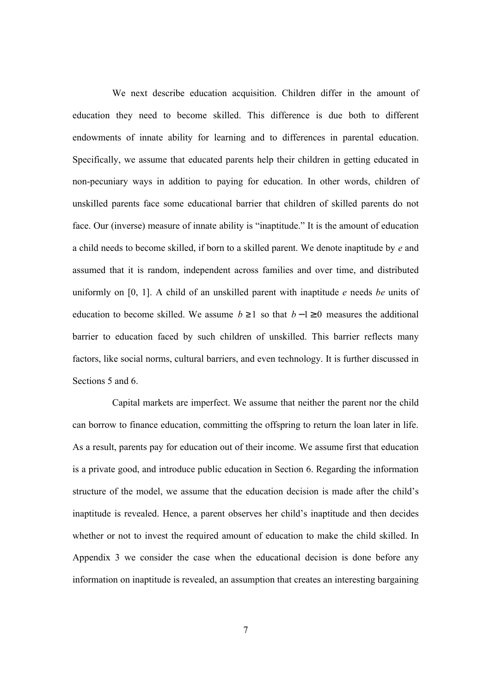We next describe education acquisition. Children differ in the amount of education they need to become skilled. This difference is due both to different endowments of innate ability for learning and to differences in parental education. Specifically, we assume that educated parents help their children in getting educated in non-pecuniary ways in addition to paying for education. In other words, children of unskilled parents face some educational barrier that children of skilled parents do not face. Our (inverse) measure of innate ability is "inaptitude." It is the amount of education a child needs to become skilled, if born to a skilled parent. We denote inaptitude by *e* and assumed that it is random, independent across families and over time, and distributed uniformly on [0, 1]. A child of an unskilled parent with inaptitude *e* needs *be* units of education to become skilled. We assume  $b \ge 1$  so that  $b-1 \ge 0$  measures the additional barrier to education faced by such children of unskilled. This barrier reflects many factors, like social norms, cultural barriers, and even technology. It is further discussed in Sections 5 and 6.

Capital markets are imperfect. We assume that neither the parent nor the child can borrow to finance education, committing the offspring to return the loan later in life. As a result, parents pay for education out of their income. We assume first that education is a private good, and introduce public education in Section 6. Regarding the information structure of the model, we assume that the education decision is made after the child's inaptitude is revealed. Hence, a parent observes her child's inaptitude and then decides whether or not to invest the required amount of education to make the child skilled. In Appendix 3 we consider the case when the educational decision is done before any information on inaptitude is revealed, an assumption that creates an interesting bargaining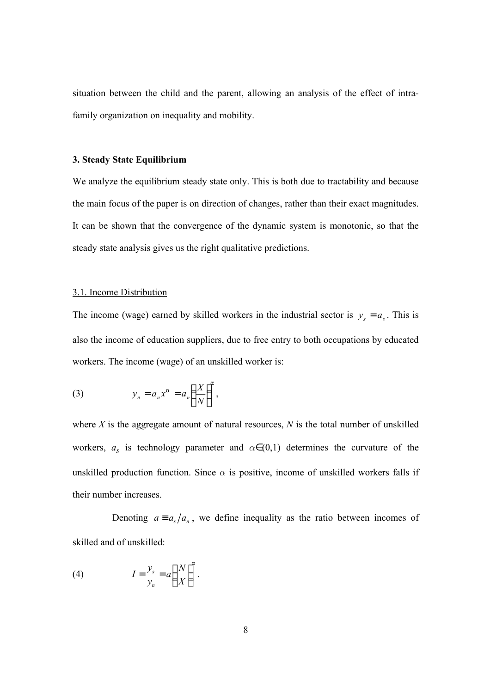situation between the child and the parent, allowing an analysis of the effect of intrafamily organization on inequality and mobility.

### **3. Steady State Equilibrium**

We analyze the equilibrium steady state only. This is both due to tractability and because the main focus of the paper is on direction of changes, rather than their exact magnitudes. It can be shown that the convergence of the dynamic system is monotonic, so that the steady state analysis gives us the right qualitative predictions.

### 3.1. Income Distribution

The income (wage) earned by skilled workers in the industrial sector is  $y_s = a_s$ . This is also the income of education suppliers, due to free entry to both occupations by educated workers. The income (wage) of an unskilled worker is:

(3) 
$$
y_n = a_n x^a = a_n \left(\frac{X}{N}\right)^a,
$$

where *X* is the aggregate amount of natural resources, *N* is the total number of unskilled workers,  $a_s$  is technology parameter and  $\alpha \in (0,1)$  determines the curvature of the unskilled production function. Since  $\alpha$  is positive, income of unskilled workers falls if their number increases.

Denoting  $a \equiv a_s/a_n$ , we define inequality as the ratio between incomes of skilled and of unskilled:

(4) 
$$
I = \frac{y_s}{y_n} = a \left(\frac{N}{X}\right)^a.
$$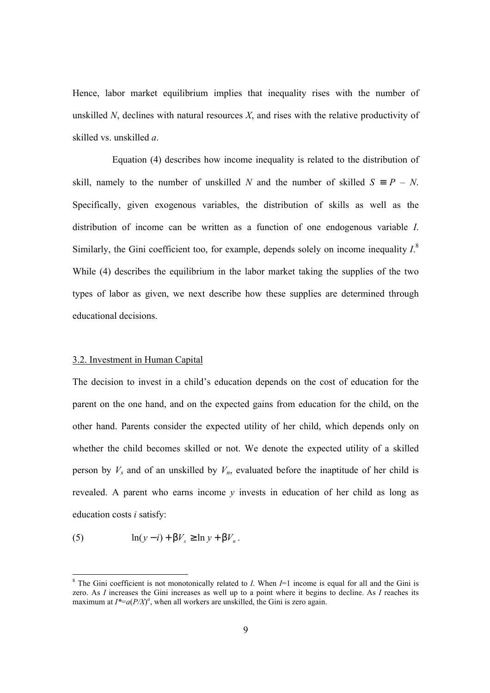Hence, labor market equilibrium implies that inequality rises with the number of unskilled *N*, declines with natural resources *X*, and rises with the relative productivity of skilled vs. unskilled *a*.

Equation (4) describes how income inequality is related to the distribution of skill, namely to the number of unskilled *N* and the number of skilled *S*  $\circ$  *P* – *N*. Specifically, given exogenous variables, the distribution of skills as well as the distribution of income can be written as a function of one endogenous variable *I*. Similarly, the Gini coefficient too, for example, depends solely on income inequality  $I^8$ . While (4) describes the equilibrium in the labor market taking the supplies of the two types of labor as given, we next describe how these supplies are determined through educational decisions.

#### 3.2. Investment in Human Capital

The decision to invest in a child's education depends on the cost of education for the parent on the one hand, and on the expected gains from education for the child, on the other hand. Parents consider the expected utility of her child, which depends only on whether the child becomes skilled or not. We denote the expected utility of a skilled person by  $V_s$  and of an unskilled by  $V_n$ , evaluated before the inaptitude of her child is revealed. A parent who earns income *y* invests in education of her child as long as education costs *i* satisfy:

(5) 
$$
\ln(y-i) + \boldsymbol{b}V_s \geq \ln y + \boldsymbol{b}V_n.
$$

<sup>&</sup>lt;sup>8</sup> The Gini coefficient is not monotonically related to *I*. When *I*=1 income is equal for all and the Gini is zero. As *I* increases the Gini increases as well up to a point where it begins to decline. As *I* reaches its maximum at  $I^* = a(P/X)^a$ , when all workers are unskilled, the Gini is zero again.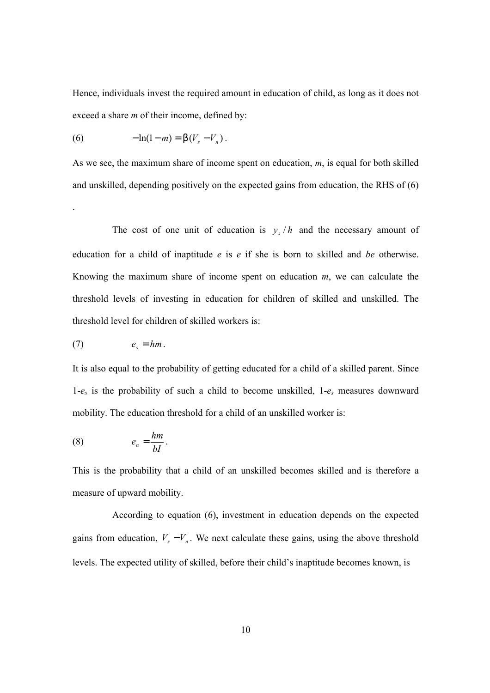Hence, individuals invest the required amount in education of child, as long as it does not exceed a share *m* of their income, defined by:

(6) 
$$
-\ln(1-m) = \mathbf{b}(V_s - V_n).
$$

As we see, the maximum share of income spent on education, *m*, is equal for both skilled and unskilled, depending positively on the expected gains from education, the RHS of (6)

The cost of one unit of education is  $y_s/h$  and the necessary amount of education for a child of inaptitude *e* is *e* if she is born to skilled and *be* otherwise. Knowing the maximum share of income spent on education *m*, we can calculate the threshold levels of investing in education for children of skilled and unskilled. The threshold level for children of skilled workers is:

$$
(7) \t e_s = hm.
$$

.

It is also equal to the probability of getting educated for a child of a skilled parent. Since 1-*es* is the probability of such a child to become unskilled, 1-*es* measures downward mobility. The education threshold for a child of an unskilled worker is:

$$
(8) \t\t\t e_n = \frac{hm}{bI}.
$$

This is the probability that a child of an unskilled becomes skilled and is therefore a measure of upward mobility.

According to equation (6), investment in education depends on the expected gains from education,  $V_s - V_n$ . We next calculate these gains, using the above threshold levels. The expected utility of skilled, before their child's inaptitude becomes known, is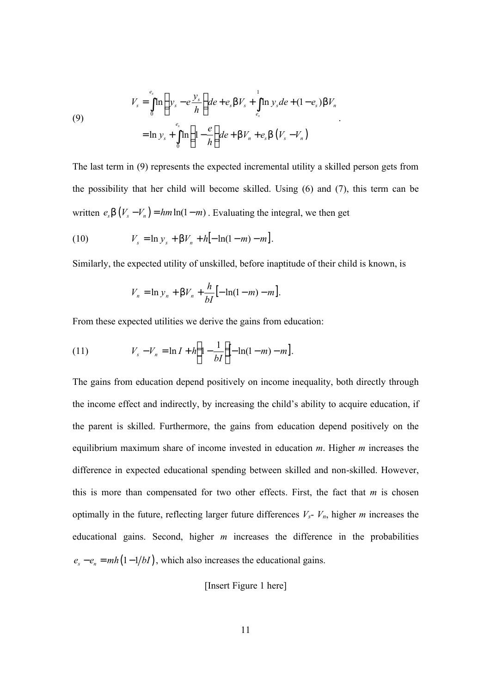(9)  

$$
V_s = \int_0^{e_s} \ln \left( y_s - e \frac{y_s}{h} \right) de + e_s b V_s + \int_{e_s}^{1} \ln y_s de + (1 - e_s) b V_n
$$

$$
= \ln y_s + \int_0^{e_s} \ln \left( 1 - \frac{e}{h} \right) de + b V_n + e_s b \left( V_s - V_n \right)
$$

The last term in (9) represents the expected incremental utility a skilled person gets from the possibility that her child will become skilled. Using (6) and (7), this term can be written  $e_s \mathbf{b}(V_s - V_n) = h m \ln(1 - m)$ . Evaluating the integral, we then get

.

(10) 
$$
V_s = \ln y_s + \mathbf{b}V_n + h[-\ln(1-m) - m].
$$

Similarly, the expected utility of unskilled, before inaptitude of their child is known, is

$$
V_n = \ln y_n + \bm{b}V_n + \frac{h}{bI} [-\ln(1-m) - m].
$$

From these expected utilities we derive the gains from education:

(11) 
$$
V_s - V_n = \ln I + h \left( 1 - \frac{1}{bI} \right) - \ln(1 - m) - m \big].
$$

The gains from education depend positively on income inequality, both directly through the income effect and indirectly, by increasing the child's ability to acquire education, if the parent is skilled. Furthermore, the gains from education depend positively on the equilibrium maximum share of income invested in education *m*. Higher *m* increases the difference in expected educational spending between skilled and non-skilled. However, this is more than compensated for two other effects. First, the fact that *m* is chosen optimally in the future, reflecting larger future differences *Vs*- *Vn*, higher *m* increases the educational gains. Second, higher *m* increases the difference in the probabilities  $e_s - e_n = mh(1 - 1/bI)$ , which also increases the educational gains.

[Insert Figure 1 here]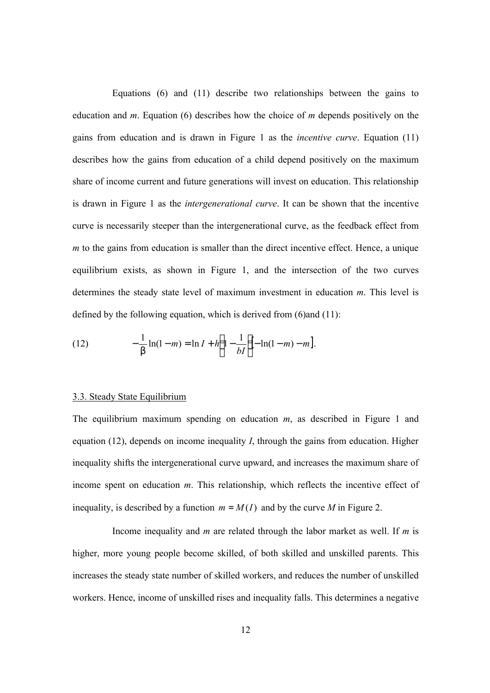Equations (6) and (11) describe two relationships between the gains to education and *m*. Equation (6) describes how the choice of *m* depends positively on the gains from education and is drawn in Figure 1 as the *incentive curve*. Equation (11) describes how the gains from education of a child depend positively on the maximum share of income current and future generations will invest on education. This relationship is drawn in Figure 1 as the *intergenerational curve*. It can be shown that the incentive curve is necessarily steeper than the intergenerational curve, as the feedback effect from *m* to the gains from education is smaller than the direct incentive effect. Hence, a unique equilibrium exists, as shown in Figure 1, and the intersection of the two curves determines the steady state level of maximum investment in education *m*. This level is defined by the following equation, which is derived from (6)and (11):

(12) 
$$
-\frac{1}{b}\ln(1-m) = \ln I + h\left(1 - \frac{1}{bI}\right) - \ln(1-m) - m.
$$

#### 3.3. Steady State Equilibrium

The equilibrium maximum spending on education *m*, as described in Figure 1 and equation (12), depends on income inequality *I*, through the gains from education. Higher inequality shifts the intergenerational curve upward, and increases the maximum share of income spent on education *m*. This relationship, which reflects the incentive effect of inequality, is described by a function  $m = M(I)$  and by the curve *M* in Figure 2.

Income inequality and *m* are related through the labor market as well. If *m* is higher, more young people become skilled, of both skilled and unskilled parents. This increases the steady state number of skilled workers, and reduces the number of unskilled workers. Hence, income of unskilled rises and inequality falls. This determines a negative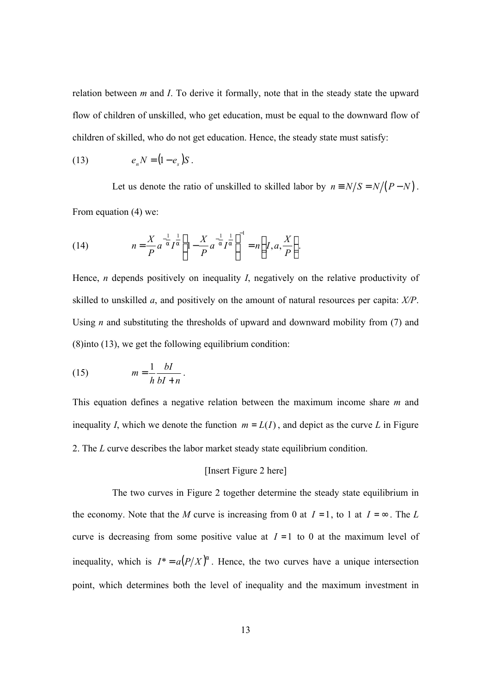relation between *m* and *I*. To derive it formally, note that in the steady state the upward flow of children of unskilled, who get education, must be equal to the downward flow of children of skilled, who do not get education. Hence, the steady state must satisfy:

(13) 
$$
e_n N = (1 - e_s)S
$$
.

Let us denote the ratio of unskilled to skilled labor by  $n \equiv N/S = N/(P - N)$ . From equation (4) we:

(14) 
$$
n = \frac{X}{P} a^{-\frac{1}{a}} I^{\frac{1}{a}} \left( 1 - \frac{X}{P} a^{-\frac{1}{a}} I^{\frac{1}{a}} \right)^{-1} = n \left( I, a, \frac{X}{P} \right).
$$

Hence, *n* depends positively on inequality *I*, negatively on the relative productivity of skilled to unskilled *a*, and positively on the amount of natural resources per capita: *X/P*. Using *n* and substituting the thresholds of upward and downward mobility from (7) and (8)into (13), we get the following equilibrium condition:

(15) 
$$
m = \frac{1}{h} \frac{bI}{bI + n}.
$$

This equation defines a negative relation between the maximum income share *m* and inequality *I*, which we denote the function  $m = L(I)$ , and depict as the curve *L* in Figure 2. The *L* curve describes the labor market steady state equilibrium condition.

# [Insert Figure 2 here]

The two curves in Figure 2 together determine the steady state equilibrium in the economy. Note that the *M* curve is increasing from 0 at  $I = 1$ , to 1 at  $I = \infty$ . The *L* curve is decreasing from some positive value at  $I = 1$  to 0 at the maximum level of inequality, which is  $I^* = a(P/X)^a$ . Hence, the two curves have a unique intersection point, which determines both the level of inequality and the maximum investment in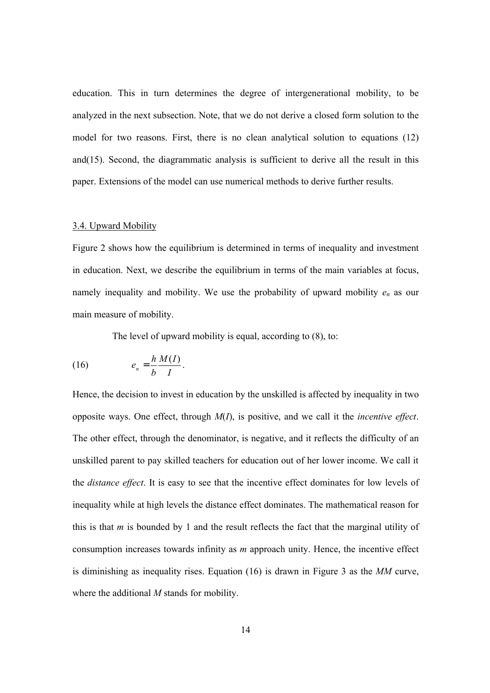education. This in turn determines the degree of intergenerational mobility, to be analyzed in the next subsection. Note, that we do not derive a closed form solution to the model for two reasons. First, there is no clean analytical solution to equations (12) and(15). Second, the diagrammatic analysis is sufficient to derive all the result in this paper. Extensions of the model can use numerical methods to derive further results.

#### 3.4. Upward Mobility

Figure 2 shows how the equilibrium is determined in terms of inequality and investment in education. Next, we describe the equilibrium in terms of the main variables at focus, namely inequality and mobility. We use the probability of upward mobility *en* as our main measure of mobility.

The level of upward mobility is equal, according to (8), to:

$$
(16) \t\t\t e_n = \frac{h M(I)}{b I}.
$$

Hence, the decision to invest in education by the unskilled is affected by inequality in two opposite ways. One effect, through *M*(*I*), is positive, and we call it the *incentive effect*. The other effect, through the denominator, is negative, and it reflects the difficulty of an unskilled parent to pay skilled teachers for education out of her lower income. We call it the *distance effect*. It is easy to see that the incentive effect dominates for low levels of inequality while at high levels the distance effect dominates. The mathematical reason for this is that *m* is bounded by 1 and the result reflects the fact that the marginal utility of consumption increases towards infinity as *m* approach unity. Hence, the incentive effect is diminishing as inequality rises. Equation (16) is drawn in Figure 3 as the *MM* curve, where the additional *M* stands for mobility.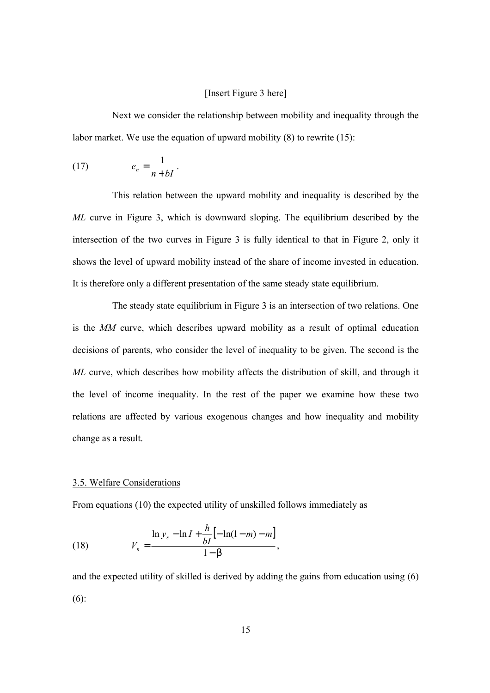# [Insert Figure 3 here]

Next we consider the relationship between mobility and inequality through the labor market. We use the equation of upward mobility (8) to rewrite (15):

$$
(17) \t\t e_n = \frac{1}{n+bI}.
$$

This relation between the upward mobility and inequality is described by the *ML* curve in Figure 3, which is downward sloping. The equilibrium described by the intersection of the two curves in Figure 3 is fully identical to that in Figure 2, only it shows the level of upward mobility instead of the share of income invested in education. It is therefore only a different presentation of the same steady state equilibrium.

The steady state equilibrium in Figure 3 is an intersection of two relations. One is the *MM* curve, which describes upward mobility as a result of optimal education decisions of parents, who consider the level of inequality to be given. The second is the *ML* curve, which describes how mobility affects the distribution of skill, and through it the level of income inequality. In the rest of the paper we examine how these two relations are affected by various exogenous changes and how inequality and mobility change as a result.

### 3.5. Welfare Considerations

From equations (10) the expected utility of unskilled follows immediately as

(18) 
$$
V_n = \frac{\ln y_s - \ln I + \frac{h}{bI} [-\ln(1-m) - m]}{1 - b},
$$

and the expected utility of skilled is derived by adding the gains from education using (6) (6):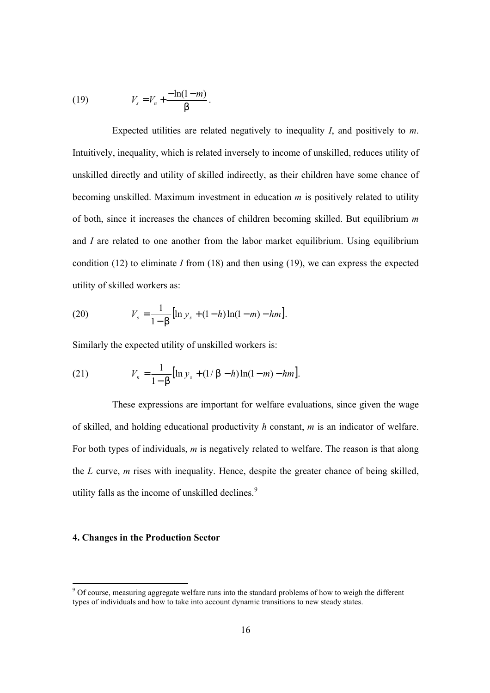(19) 
$$
V_s = V_n + \frac{-\ln(1-m)}{b}.
$$

Expected utilities are related negatively to inequality *I*, and positively to *m*. Intuitively, inequality, which is related inversely to income of unskilled, reduces utility of unskilled directly and utility of skilled indirectly, as their children have some chance of becoming unskilled. Maximum investment in education *m* is positively related to utility of both, since it increases the chances of children becoming skilled. But equilibrium *m* and *I* are related to one another from the labor market equilibrium. Using equilibrium condition (12) to eliminate *I* from (18) and then using (19), we can express the expected utility of skilled workers as:

(20) 
$$
V_s = \frac{1}{1 - b} [\ln y_s + (1 - h) \ln(1 - m) - h m].
$$

Similarly the expected utility of unskilled workers is:

(21) 
$$
V_n = \frac{1}{1 - b} [\ln y_s + (1/b - h) \ln(1 - m) - hm].
$$

These expressions are important for welfare evaluations, since given the wage of skilled, and holding educational productivity *h* constant, *m* is an indicator of welfare. For both types of individuals, *m* is negatively related to welfare. The reason is that along the *L* curve, *m* rises with inequality. Hence, despite the greater chance of being skilled, utility falls as the income of unskilled declines.<sup>9</sup>

# **4. Changes in the Production Sector**

<sup>&</sup>lt;sup>9</sup> Of course, measuring aggregate welfare runs into the standard problems of how to weigh the different types of individuals and how to take into account dynamic transitions to new steady states.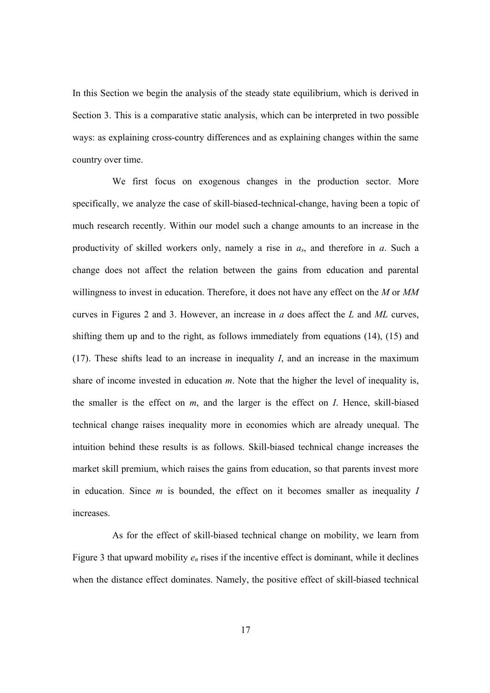In this Section we begin the analysis of the steady state equilibrium, which is derived in Section 3. This is a comparative static analysis, which can be interpreted in two possible ways: as explaining cross-country differences and as explaining changes within the same country over time.

We first focus on exogenous changes in the production sector. More specifically, we analyze the case of skill-biased-technical-change, having been a topic of much research recently. Within our model such a change amounts to an increase in the productivity of skilled workers only, namely a rise in *as*, and therefore in *a*. Such a change does not affect the relation between the gains from education and parental willingness to invest in education. Therefore, it does not have any effect on the *M* or *MM* curves in Figures 2 and 3. However, an increase in *a* does affect the *L* and *ML* curves, shifting them up and to the right, as follows immediately from equations (14), (15) and (17). These shifts lead to an increase in inequality *I*, and an increase in the maximum share of income invested in education *m*. Note that the higher the level of inequality is, the smaller is the effect on *m*, and the larger is the effect on *I*. Hence, skill-biased technical change raises inequality more in economies which are already unequal. The intuition behind these results is as follows. Skill-biased technical change increases the market skill premium, which raises the gains from education, so that parents invest more in education. Since *m* is bounded, the effect on it becomes smaller as inequality *I* increases.

As for the effect of skill-biased technical change on mobility, we learn from Figure 3 that upward mobility *en* rises if the incentive effect is dominant, while it declines when the distance effect dominates. Namely, the positive effect of skill-biased technical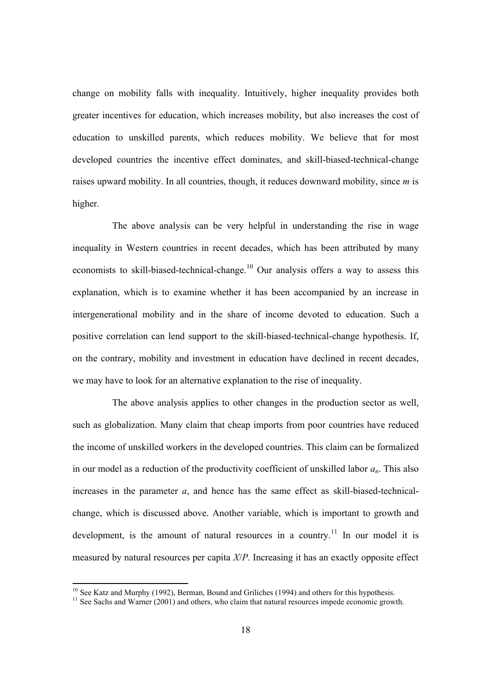change on mobility falls with inequality. Intuitively, higher inequality provides both greater incentives for education, which increases mobility, but also increases the cost of education to unskilled parents, which reduces mobility. We believe that for most developed countries the incentive effect dominates, and skill-biased-technical-change raises upward mobility. In all countries, though, it reduces downward mobility, since *m* is higher.

The above analysis can be very helpful in understanding the rise in wage inequality in Western countries in recent decades, which has been attributed by many economists to skill-biased-technical-change.<sup>10</sup> Our analysis offers a way to assess this explanation, which is to examine whether it has been accompanied by an increase in intergenerational mobility and in the share of income devoted to education. Such a positive correlation can lend support to the skill-biased-technical-change hypothesis. If, on the contrary, mobility and investment in education have declined in recent decades, we may have to look for an alternative explanation to the rise of inequality.

The above analysis applies to other changes in the production sector as well, such as globalization. Many claim that cheap imports from poor countries have reduced the income of unskilled workers in the developed countries. This claim can be formalized in our model as a reduction of the productivity coefficient of unskilled labor *an*. This also increases in the parameter *a*, and hence has the same effect as skill-biased-technicalchange, which is discussed above. Another variable, which is important to growth and development, is the amount of natural resources in a country.<sup>11</sup> In our model it is measured by natural resources per capita *X*/*P*. Increasing it has an exactly opposite effect

<sup>&</sup>lt;sup>10</sup> See Katz and Murphy (1992), Berman, Bound and Griliches (1994) and others for this hypothesis.

 $11$  See Sachs and Warner (2001) and others, who claim that natural resources impede economic growth.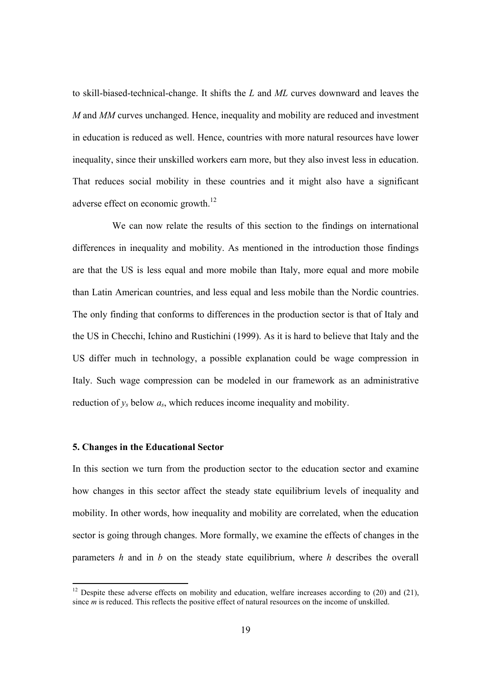to skill-biased-technical-change. It shifts the *L* and *ML* curves downward and leaves the *M* and *MM* curves unchanged. Hence, inequality and mobility are reduced and investment in education is reduced as well. Hence, countries with more natural resources have lower inequality, since their unskilled workers earn more, but they also invest less in education. That reduces social mobility in these countries and it might also have a significant adverse effect on economic growth.<sup>12</sup>

We can now relate the results of this section to the findings on international differences in inequality and mobility. As mentioned in the introduction those findings are that the US is less equal and more mobile than Italy, more equal and more mobile than Latin American countries, and less equal and less mobile than the Nordic countries. The only finding that conforms to differences in the production sector is that of Italy and the US in Checchi, Ichino and Rustichini (1999). As it is hard to believe that Italy and the US differ much in technology, a possible explanation could be wage compression in Italy. Such wage compression can be modeled in our framework as an administrative reduction of  $y_s$  below  $a_s$ , which reduces income inequality and mobility.

# **5. Changes in the Educational Sector**

-

In this section we turn from the production sector to the education sector and examine how changes in this sector affect the steady state equilibrium levels of inequality and mobility. In other words, how inequality and mobility are correlated, when the education sector is going through changes. More formally, we examine the effects of changes in the parameters *h* and in *b* on the steady state equilibrium, where *h* describes the overall

<sup>&</sup>lt;sup>12</sup> Despite these adverse effects on mobility and education, welfare increases according to  $(20)$  and  $(21)$ , since *m* is reduced. This reflects the positive effect of natural resources on the income of unskilled.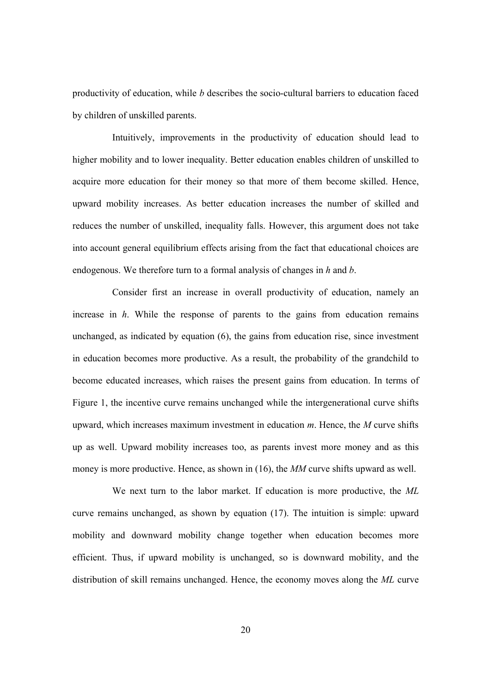productivity of education, while *b* describes the socio-cultural barriers to education faced by children of unskilled parents.

Intuitively, improvements in the productivity of education should lead to higher mobility and to lower inequality. Better education enables children of unskilled to acquire more education for their money so that more of them become skilled. Hence, upward mobility increases. As better education increases the number of skilled and reduces the number of unskilled, inequality falls. However, this argument does not take into account general equilibrium effects arising from the fact that educational choices are endogenous. We therefore turn to a formal analysis of changes in *h* and *b*.

Consider first an increase in overall productivity of education, namely an increase in *h*. While the response of parents to the gains from education remains unchanged, as indicated by equation (6), the gains from education rise, since investment in education becomes more productive. As a result, the probability of the grandchild to become educated increases, which raises the present gains from education. In terms of Figure 1, the incentive curve remains unchanged while the intergenerational curve shifts upward, which increases maximum investment in education *m*. Hence, the *M* curve shifts up as well. Upward mobility increases too, as parents invest more money and as this money is more productive. Hence, as shown in (16), the *MM* curve shifts upward as well.

We next turn to the labor market. If education is more productive, the *ML* curve remains unchanged, as shown by equation (17). The intuition is simple: upward mobility and downward mobility change together when education becomes more efficient. Thus, if upward mobility is unchanged, so is downward mobility, and the distribution of skill remains unchanged. Hence, the economy moves along the *ML* curve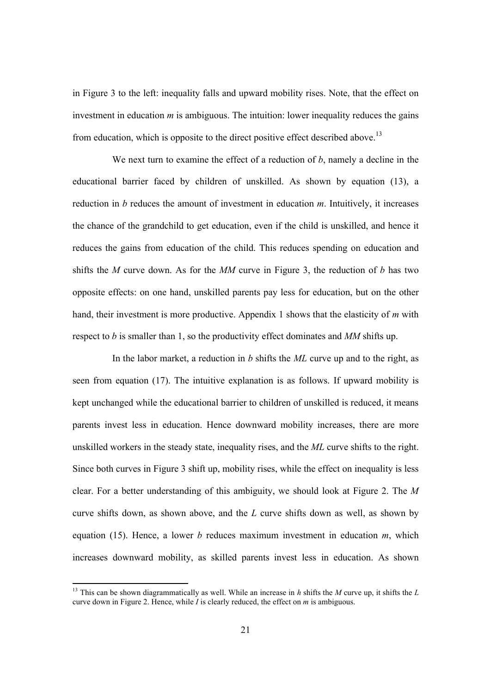in Figure 3 to the left: inequality falls and upward mobility rises. Note, that the effect on investment in education *m* is ambiguous. The intuition: lower inequality reduces the gains from education, which is opposite to the direct positive effect described above.<sup>13</sup>

We next turn to examine the effect of a reduction of *b*, namely a decline in the educational barrier faced by children of unskilled. As shown by equation (13), a reduction in *b* reduces the amount of investment in education *m*. Intuitively, it increases the chance of the grandchild to get education, even if the child is unskilled, and hence it reduces the gains from education of the child. This reduces spending on education and shifts the *M* curve down. As for the *MM* curve in Figure 3, the reduction of *b* has two opposite effects: on one hand, unskilled parents pay less for education, but on the other hand, their investment is more productive. Appendix 1 shows that the elasticity of *m* with respect to *b* is smaller than 1, so the productivity effect dominates and *MM* shifts up.

In the labor market, a reduction in *b* shifts the *ML* curve up and to the right, as seen from equation (17). The intuitive explanation is as follows. If upward mobility is kept unchanged while the educational barrier to children of unskilled is reduced, it means parents invest less in education. Hence downward mobility increases, there are more unskilled workers in the steady state, inequality rises, and the *ML* curve shifts to the right. Since both curves in Figure 3 shift up, mobility rises, while the effect on inequality is less clear. For a better understanding of this ambiguity, we should look at Figure 2. The *M* curve shifts down, as shown above, and the *L* curve shifts down as well, as shown by equation (15). Hence, a lower *b* reduces maximum investment in education *m*, which increases downward mobility, as skilled parents invest less in education. As shown

<sup>13</sup> This can be shown diagrammatically as well. While an increase in *h* shifts the *M* curve up, it shifts the *L* curve down in Figure 2. Hence, while *I* is clearly reduced, the effect on *m* is ambiguous.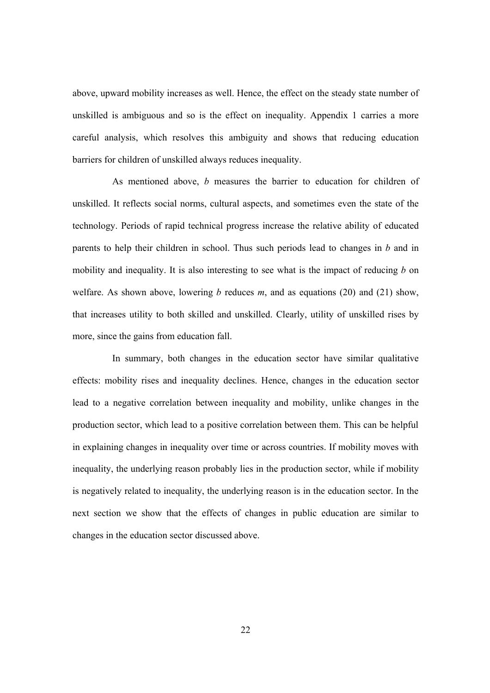above, upward mobility increases as well. Hence, the effect on the steady state number of unskilled is ambiguous and so is the effect on inequality. Appendix 1 carries a more careful analysis, which resolves this ambiguity and shows that reducing education barriers for children of unskilled always reduces inequality.

As mentioned above, *b* measures the barrier to education for children of unskilled. It reflects social norms, cultural aspects, and sometimes even the state of the technology. Periods of rapid technical progress increase the relative ability of educated parents to help their children in school. Thus such periods lead to changes in *b* and in mobility and inequality. It is also interesting to see what is the impact of reducing *b* on welfare. As shown above, lowering *b* reduces *m*, and as equations (20) and (21) show, that increases utility to both skilled and unskilled. Clearly, utility of unskilled rises by more, since the gains from education fall.

In summary, both changes in the education sector have similar qualitative effects: mobility rises and inequality declines. Hence, changes in the education sector lead to a negative correlation between inequality and mobility, unlike changes in the production sector, which lead to a positive correlation between them. This can be helpful in explaining changes in inequality over time or across countries. If mobility moves with inequality, the underlying reason probably lies in the production sector, while if mobility is negatively related to inequality, the underlying reason is in the education sector. In the next section we show that the effects of changes in public education are similar to changes in the education sector discussed above.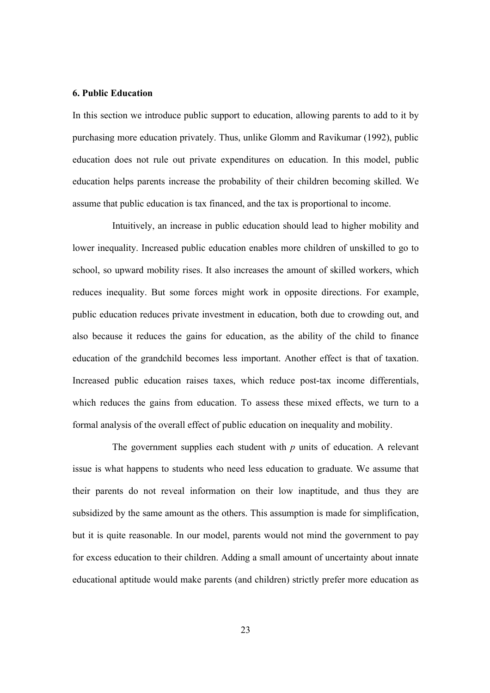# **6. Public Education**

In this section we introduce public support to education, allowing parents to add to it by purchasing more education privately. Thus, unlike Glomm and Ravikumar (1992), public education does not rule out private expenditures on education. In this model, public education helps parents increase the probability of their children becoming skilled. We assume that public education is tax financed, and the tax is proportional to income.

Intuitively, an increase in public education should lead to higher mobility and lower inequality. Increased public education enables more children of unskilled to go to school, so upward mobility rises. It also increases the amount of skilled workers, which reduces inequality. But some forces might work in opposite directions. For example, public education reduces private investment in education, both due to crowding out, and also because it reduces the gains for education, as the ability of the child to finance education of the grandchild becomes less important. Another effect is that of taxation. Increased public education raises taxes, which reduce post-tax income differentials, which reduces the gains from education. To assess these mixed effects, we turn to a formal analysis of the overall effect of public education on inequality and mobility.

The government supplies each student with *p* units of education. A relevant issue is what happens to students who need less education to graduate. We assume that their parents do not reveal information on their low inaptitude, and thus they are subsidized by the same amount as the others. This assumption is made for simplification, but it is quite reasonable. In our model, parents would not mind the government to pay for excess education to their children. Adding a small amount of uncertainty about innate educational aptitude would make parents (and children) strictly prefer more education as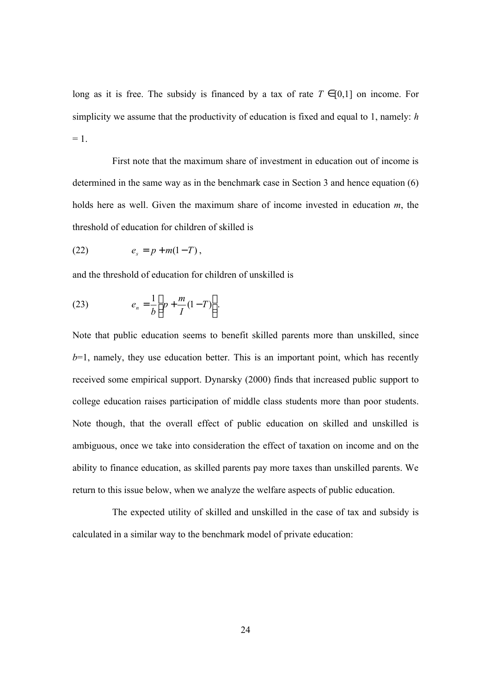long as it is free. The subsidy is financed by a tax of rate  $T \in [0,1]$  on income. For simplicity we assume that the productivity of education is fixed and equal to 1, namely: *h*  $= 1.$ 

First note that the maximum share of investment in education out of income is determined in the same way as in the benchmark case in Section 3 and hence equation (6) holds here as well. Given the maximum share of income invested in education *m*, the threshold of education for children of skilled is

$$
(22) \qquad \qquad e_s = p + m(1 - T) \,,
$$

and the threshold of education for children of unskilled is

(23) 
$$
e_n = \frac{1}{b} \left[ p + \frac{m}{I} (1 - T) \right].
$$

Note that public education seems to benefit skilled parents more than unskilled, since  $b=1$ , namely, they use education better. This is an important point, which has recently received some empirical support. Dynarsky (2000) finds that increased public support to college education raises participation of middle class students more than poor students. Note though, that the overall effect of public education on skilled and unskilled is ambiguous, once we take into consideration the effect of taxation on income and on the ability to finance education, as skilled parents pay more taxes than unskilled parents. We return to this issue below, when we analyze the welfare aspects of public education.

The expected utility of skilled and unskilled in the case of tax and subsidy is calculated in a similar way to the benchmark model of private education: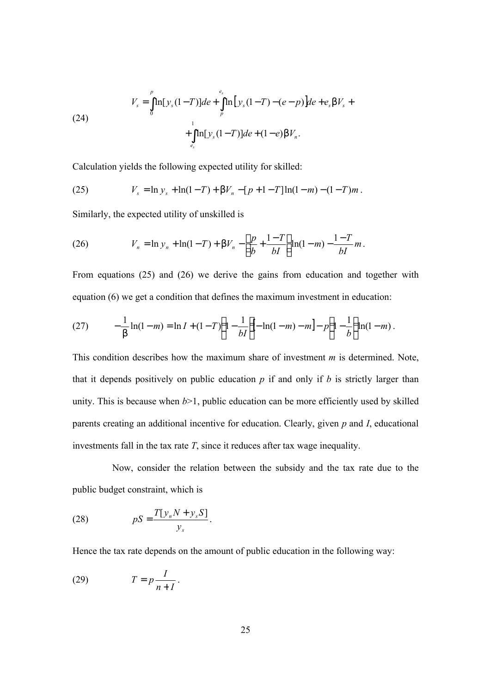(24)  

$$
V_s = \int_0^p \ln[y_s(1-T)]de + \int_p^{e_s} \ln[y_s(1-T)-(e-p)]de + e_s bV_s + \int_{e_s}^1 \ln[y_s(1-T)]de + (1-e)bV_n.
$$

Calculation yields the following expected utility for skilled:

(25) 
$$
V_s = \ln y_s + \ln(1 - T) + \boldsymbol{b}V_n - [p + 1 - T]\ln(1 - m) - (1 - T)m.
$$

Similarly, the expected utility of unskilled is

(26) 
$$
V_n = \ln y_n + \ln(1-T) + \boldsymbol{b}V_n - \left[\frac{p}{b} + \frac{1-T}{bI}\right] \ln(1-m) - \frac{1-T}{bI}m.
$$

From equations (25) and (26) we derive the gains from education and together with equation (6) we get a condition that defines the maximum investment in education:

(27) 
$$
-\frac{1}{\mathbf{b}}\ln(1-m) = \ln I + (1-T)\left(1-\frac{1}{bI}\right) - \ln(1-m) - m\right] - p\left(1-\frac{1}{b}\right)\ln(1-m).
$$

This condition describes how the maximum share of investment *m* is determined. Note, that it depends positively on public education  $p$  if and only if  $b$  is strictly larger than unity. This is because when  $b > 1$ , public education can be more efficiently used by skilled parents creating an additional incentive for education. Clearly, given *p* and *I*, educational investments fall in the tax rate *T*, since it reduces after tax wage inequality.

Now, consider the relation between the subsidy and the tax rate due to the public budget constraint, which is

(28) *s n s y T y N y S pS* [ <sup>+</sup> ] = .

Hence the tax rate depends on the amount of public education in the following way:

$$
(29) \t\t T = p \frac{I}{n+I}.
$$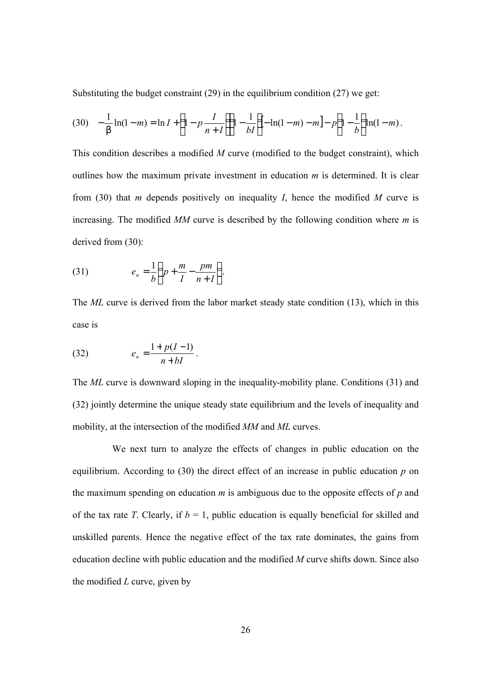Substituting the budget constraint (29) in the equilibrium condition (27) we get:

$$
(30) \quad -\frac{1}{\mathbf{b}}\ln(1-m) = \ln I + \left(1 - p\frac{I}{n+I}\right)\left(1 - \frac{1}{bI}\right) - \ln(1-m) - m\right] - p\left(1 - \frac{1}{b}\right)\ln(1-m).
$$

This condition describes a modified *M* curve (modified to the budget constraint), which outlines how the maximum private investment in education *m* is determined. It is clear from (30) that *m* depends positively on inequality *I*, hence the modified *M* curve is increasing. The modified *MM* curve is described by the following condition where *m* is derived from (30):

$$
(31) \t\t\t e_n = \frac{1}{b} \left( p + \frac{m}{I} - \frac{pm}{n+I} \right)
$$

The *ML* curve is derived from the labor market steady state condition (13), which in this case is

.

(32) 
$$
e_n = \frac{1 + p(I-1)}{n + bI}.
$$

The *ML* curve is downward sloping in the inequality-mobility plane. Conditions (31) and (32) jointly determine the unique steady state equilibrium and the levels of inequality and mobility, at the intersection of the modified *MM* and *ML* curves.

We next turn to analyze the effects of changes in public education on the equilibrium. According to (30) the direct effect of an increase in public education *p* on the maximum spending on education *m* is ambiguous due to the opposite effects of *p* and of the tax rate *T*. Clearly, if  $b = 1$ , public education is equally beneficial for skilled and unskilled parents. Hence the negative effect of the tax rate dominates, the gains from education decline with public education and the modified *M* curve shifts down. Since also the modified *L* curve, given by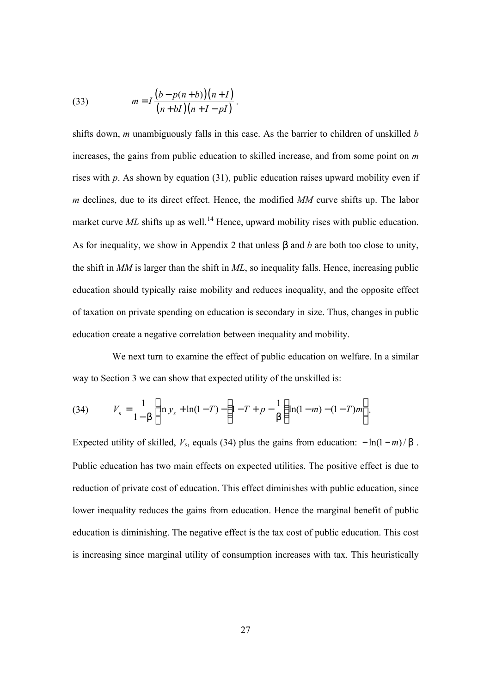(33) 
$$
m = I \frac{(b - p(n+b))(n+I)}{(n+bI)(n+I - pI)}.
$$

shifts down, *m* unambiguously falls in this case. As the barrier to children of unskilled *b* increases, the gains from public education to skilled increase, and from some point on *m* rises with *p*. As shown by equation (31), public education raises upward mobility even if *m* declines, due to its direct effect. Hence, the modified *MM* curve shifts up. The labor market curve  $ML$  shifts up as well.<sup>14</sup> Hence, upward mobility rises with public education. As for inequality, we show in Appendix 2 that unless *b* and *b* are both too close to unity, the shift in *MM* is larger than the shift in *ML*, so inequality falls. Hence, increasing public education should typically raise mobility and reduces inequality, and the opposite effect of taxation on private spending on education is secondary in size. Thus, changes in public education create a negative correlation between inequality and mobility.

We next turn to examine the effect of public education on welfare. In a similar way to Section 3 we can show that expected utility of the unskilled is:

(34) 
$$
V_n = \frac{1}{1 - b} \left[ \ln y_s + \ln(1 - T) - \left( 1 - T + p - \frac{1}{b} \right) \ln(1 - m) - (1 - T)m \right].
$$

Expected utility of skilled,  $V_s$ , equals (34) plus the gains from education:  $-\ln(1-m)/b$ . Public education has two main effects on expected utilities. The positive effect is due to reduction of private cost of education. This effect diminishes with public education, since lower inequality reduces the gains from education. Hence the marginal benefit of public education is diminishing. The negative effect is the tax cost of public education. This cost is increasing since marginal utility of consumption increases with tax. This heuristically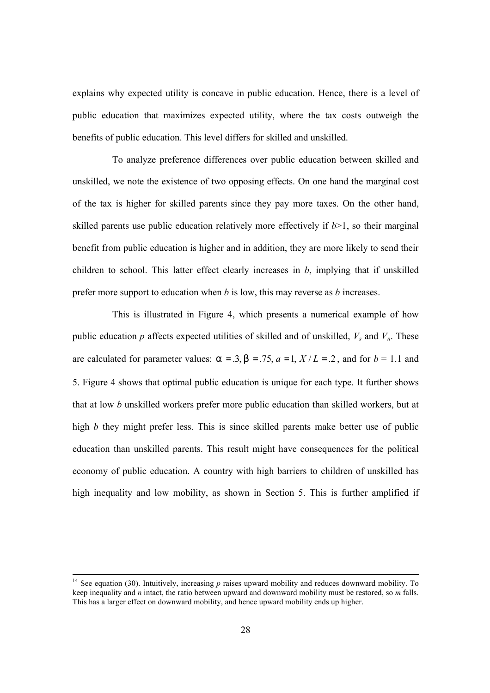explains why expected utility is concave in public education. Hence, there is a level of public education that maximizes expected utility, where the tax costs outweigh the benefits of public education. This level differs for skilled and unskilled.

To analyze preference differences over public education between skilled and unskilled, we note the existence of two opposing effects. On one hand the marginal cost of the tax is higher for skilled parents since they pay more taxes. On the other hand, skilled parents use public education relatively more effectively if  $b>1$ , so their marginal benefit from public education is higher and in addition, they are more likely to send their children to school. This latter effect clearly increases in *b*, implying that if unskilled prefer more support to education when *b* is low, this may reverse as *b* increases.

This is illustrated in Figure 4, which presents a numerical example of how public education  $p$  affects expected utilities of skilled and of unskilled,  $V_s$  and  $V_n$ . These are calculated for parameter values:  $\mathbf{a} = 0.3$ ,  $\mathbf{b} = 0.75$ ,  $\mathbf{a} = 1$ ,  $X/L = 0.2$ , and for  $\mathbf{b} = 1.1$  and 5. Figure 4 shows that optimal public education is unique for each type. It further shows that at low *b* unskilled workers prefer more public education than skilled workers, but at high *b* they might prefer less. This is since skilled parents make better use of public education than unskilled parents. This result might have consequences for the political economy of public education. A country with high barriers to children of unskilled has high inequality and low mobility, as shown in Section 5. This is further amplified if

<sup>&</sup>lt;sup>14</sup> See equation (30). Intuitively, increasing  $p$  raises upward mobility and reduces downward mobility. To keep inequality and *n* intact, the ratio between upward and downward mobility must be restored, so *m* falls. This has a larger effect on downward mobility, and hence upward mobility ends up higher.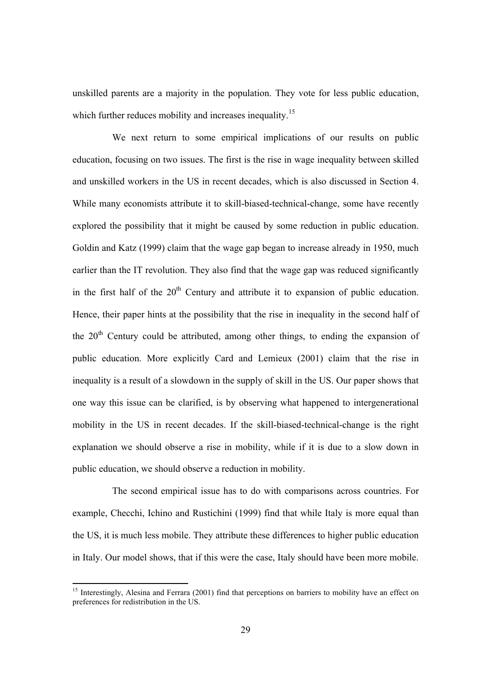unskilled parents are a majority in the population. They vote for less public education, which further reduces mobility and increases inequality.<sup>15</sup>

We next return to some empirical implications of our results on public education, focusing on two issues. The first is the rise in wage inequality between skilled and unskilled workers in the US in recent decades, which is also discussed in Section 4. While many economists attribute it to skill-biased-technical-change, some have recently explored the possibility that it might be caused by some reduction in public education. Goldin and Katz (1999) claim that the wage gap began to increase already in 1950, much earlier than the IT revolution. They also find that the wage gap was reduced significantly in the first half of the  $20<sup>th</sup>$  Century and attribute it to expansion of public education. Hence, their paper hints at the possibility that the rise in inequality in the second half of the  $20<sup>th</sup>$  Century could be attributed, among other things, to ending the expansion of public education. More explicitly Card and Lemieux (2001) claim that the rise in inequality is a result of a slowdown in the supply of skill in the US. Our paper shows that one way this issue can be clarified, is by observing what happened to intergenerational mobility in the US in recent decades. If the skill-biased-technical-change is the right explanation we should observe a rise in mobility, while if it is due to a slow down in public education, we should observe a reduction in mobility.

The second empirical issue has to do with comparisons across countries. For example, Checchi, Ichino and Rustichini (1999) find that while Italy is more equal than the US, it is much less mobile. They attribute these differences to higher public education in Italy. Our model shows, that if this were the case, Italy should have been more mobile.

<sup>&</sup>lt;sup>15</sup> Interestingly, Alesina and Ferrara (2001) find that perceptions on barriers to mobility have an effect on preferences for redistribution in the US.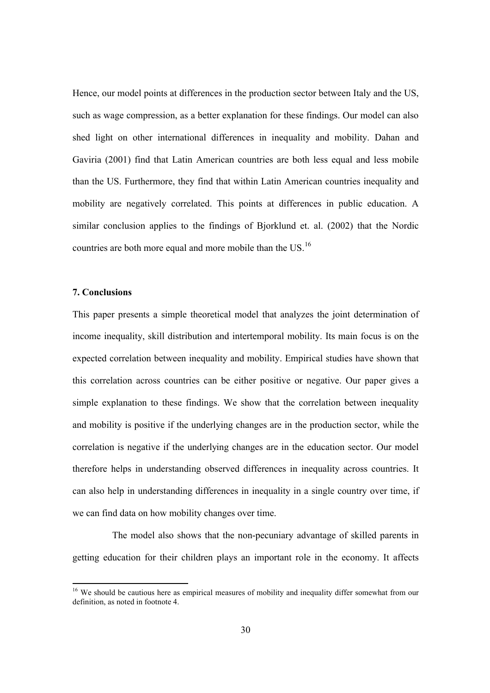Hence, our model points at differences in the production sector between Italy and the US, such as wage compression, as a better explanation for these findings. Our model can also shed light on other international differences in inequality and mobility. Dahan and Gaviria (2001) find that Latin American countries are both less equal and less mobile than the US. Furthermore, they find that within Latin American countries inequality and mobility are negatively correlated. This points at differences in public education. A similar conclusion applies to the findings of Bjorklund et. al. (2002) that the Nordic countries are both more equal and more mobile than the US.<sup>16</sup>

# **7. Conclusions**

-

This paper presents a simple theoretical model that analyzes the joint determination of income inequality, skill distribution and intertemporal mobility. Its main focus is on the expected correlation between inequality and mobility. Empirical studies have shown that this correlation across countries can be either positive or negative. Our paper gives a simple explanation to these findings. We show that the correlation between inequality and mobility is positive if the underlying changes are in the production sector, while the correlation is negative if the underlying changes are in the education sector. Our model therefore helps in understanding observed differences in inequality across countries. It can also help in understanding differences in inequality in a single country over time, if we can find data on how mobility changes over time.

The model also shows that the non-pecuniary advantage of skilled parents in getting education for their children plays an important role in the economy. It affects

<sup>&</sup>lt;sup>16</sup> We should be cautious here as empirical measures of mobility and inequality differ somewhat from our definition, as noted in footnote 4.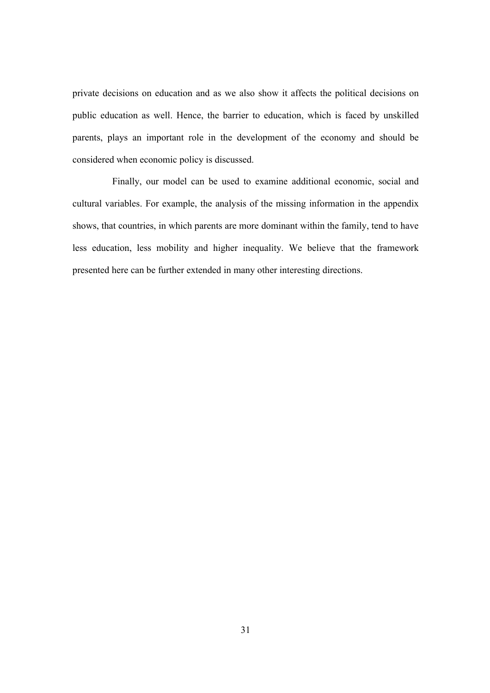private decisions on education and as we also show it affects the political decisions on public education as well. Hence, the barrier to education, which is faced by unskilled parents, plays an important role in the development of the economy and should be considered when economic policy is discussed.

Finally, our model can be used to examine additional economic, social and cultural variables. For example, the analysis of the missing information in the appendix shows, that countries, in which parents are more dominant within the family, tend to have less education, less mobility and higher inequality. We believe that the framework presented here can be further extended in many other interesting directions.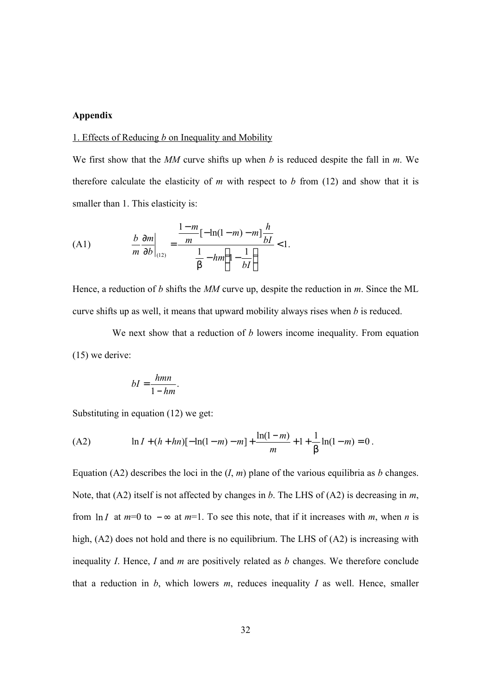# **Appendix**

#### 1. Effects of Reducing *b* on Inequality and Mobility

We first show that the *MM* curve shifts up when *b* is reduced despite the fall in *m*. We therefore calculate the elasticity of  $m$  with respect to  $b$  from (12) and show that it is smaller than 1. This elasticity is:

(A1) 
$$
\frac{b}{m} \frac{\partial m}{\partial b} \bigg|_{(12)} = \frac{\frac{1-m}{m} [-\ln(1-m) - m] \frac{h}{bI}}{\frac{1}{b} - hm \left(1 - \frac{1}{bI}\right)} < 1.
$$

Hence, a reduction of *b* shifts the *MM* curve up, despite the reduction in *m*. Since the ML curve shifts up as well, it means that upward mobility always rises when *b* is reduced.

We next show that a reduction of *b* lowers income inequality. From equation (15) we derive:

$$
bI = \frac{hmn}{1 - hm}.
$$

Substituting in equation (12) we get:

(A2) 
$$
\ln I + (h + hn)[- \ln(1-m) - m] + \frac{\ln(1-m)}{m} + 1 + \frac{1}{b} \ln(1-m) = 0.
$$

Equation (A2) describes the loci in the  $(I, m)$  plane of the various equilibria as *b* changes. Note, that (A2) itself is not affected by changes in *b*. The LHS of (A2) is decreasing in *m*, from ln *I* at  $m=0$  to  $-\infty$  at  $m=1$ . To see this note, that if it increases with *m*, when *n* is high, (A2) does not hold and there is no equilibrium. The LHS of (A2) is increasing with inequality *I*. Hence, *I* and *m* are positively related as *b* changes. We therefore conclude that a reduction in  $b$ , which lowers  $m$ , reduces inequality  $I$  as well. Hence, smaller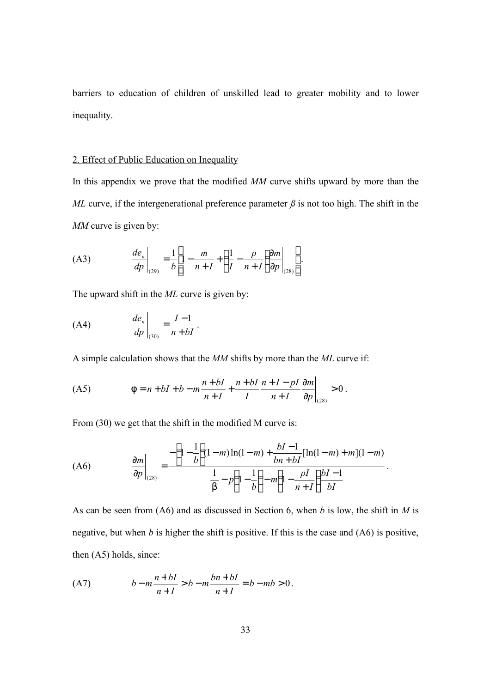barriers to education of children of unskilled lead to greater mobility and to lower inequality.

# 2. Effect of Public Education on Inequality

In this appendix we prove that the modified *MM* curve shifts upward by more than the *ML* curve, if the intergenerational preference parameter  $\beta$  is not too high. The shift in the *MM* curve is given by:

(A3) 
$$
\frac{de_n}{dp}\bigg|_{(29)} = \frac{1}{b} \left[1 - \frac{m}{n+I} + \left(\frac{1}{I} - \frac{p}{n+I}\right) \frac{\partial m}{\partial p}\bigg|_{(28)}\right].
$$

The upward shift in the *ML* curve is given by:

$$
\text{(A4)} \qquad \qquad \left. \frac{de_n}{dp} \right|_{(30)} = \frac{I-1}{n+bI} \, .
$$

A simple calculation shows that the *MM* shifts by more than the *ML* curve if:

(A5) 0 (28) > ∂ ∂ + + + − + + + = + + − *p m n I n I pI I n bI n I <sup>n</sup> bI <sup>f</sup> <sup>n</sup> bI <sup>b</sup> <sup>m</sup>* .

From (30) we get that the shift in the modified M curve is:

(A6) 
$$
\frac{\partial m}{\partial p}\Big|_{(28)} = \frac{-\left(1 - \frac{1}{b}\right)(1 - m)\ln(1 - m) + \frac{bI - 1}{bn + bl}[\ln(1 - m) + m](1 - m)}{\frac{1}{b} - p\left(1 - \frac{1}{b}\right) - m\left(1 - \frac{pI}{n + I}\right)\frac{bI - 1}{bl}}.
$$

As can be seen from (A6) and as discussed in Section 6, when *b* is low, the shift in *M* is negative, but when *b* is higher the shift is positive. If this is the case and (A6) is positive, then (A5) holds, since:

(A7) 
$$
b - m \frac{n + bl}{n + I} > b - m \frac{bn + bl}{n + I} = b - mb > 0.
$$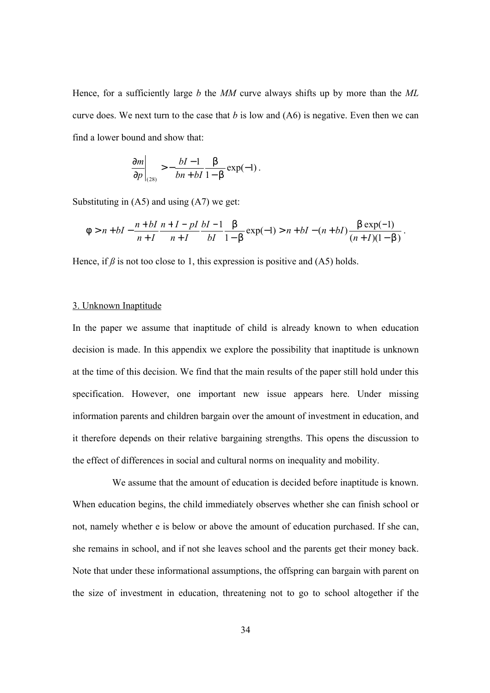Hence, for a sufficiently large *b* the *MM* curve always shifts up by more than the *ML* curve does. We next turn to the case that *b* is low and (A6) is negative. Even then we can find a lower bound and show that:

$$
\frac{\partial m}{\partial p}\bigg|_{(28)} > -\frac{bI-1}{bn+bI} \frac{\mathbf{b}}{1-\mathbf{b}} \exp(-1) \, .
$$

Substituting in (A5) and using (A7) we get:

$$
f > n + bI - \frac{n + bI}{n + I} \frac{n + I - pI}{n + I} \frac{bI - 1}{bI} \frac{b}{1 - b} \exp(-1) > n + bI - (n + bI) \frac{b \exp(-1)}{(n + I)(1 - b)}.
$$

Hence, if  $\beta$  is not too close to 1, this expression is positive and (A5) holds.

#### 3. Unknown Inaptitude

In the paper we assume that inaptitude of child is already known to when education decision is made. In this appendix we explore the possibility that inaptitude is unknown at the time of this decision. We find that the main results of the paper still hold under this specification. However, one important new issue appears here. Under missing information parents and children bargain over the amount of investment in education, and it therefore depends on their relative bargaining strengths. This opens the discussion to the effect of differences in social and cultural norms on inequality and mobility.

We assume that the amount of education is decided before inaptitude is known. When education begins, the child immediately observes whether she can finish school or not, namely whether e is below or above the amount of education purchased. If she can, she remains in school, and if not she leaves school and the parents get their money back. Note that under these informational assumptions, the offspring can bargain with parent on the size of investment in education, threatening not to go to school altogether if the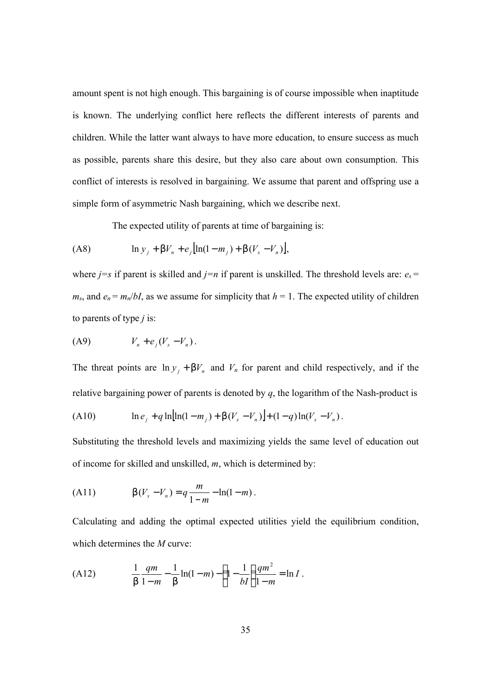amount spent is not high enough. This bargaining is of course impossible when inaptitude is known. The underlying conflict here reflects the different interests of parents and children. While the latter want always to have more education, to ensure success as much as possible, parents share this desire, but they also care about own consumption. This conflict of interests is resolved in bargaining. We assume that parent and offspring use a simple form of asymmetric Nash bargaining, which we describe next.

The expected utility of parents at time of bargaining is:

(A8) ln [ln(1 ) ( )] *<sup>j</sup> <sup>n</sup> <sup>j</sup> m<sup>j</sup> V<sup>s</sup> V<sup>n</sup> y* + *bV* + *e* − + *b* − ,

where *j*=*s* if parent is skilled and *j*=*n* if parent is unskilled. The threshold levels are:  $e_s$ =  $m_s$ , and  $e_n = m_n/bI$ , as we assume for simplicity that  $h = 1$ . The expected utility of children to parents of type *j* is:

$$
(A9) \tV_n + e_j(V_s - V_n).
$$

The threat points are  $\ln y_j + bV_n$  and  $V_n$  for parent and child respectively, and if the relative bargaining power of parents is denoted by *q*, the logarithm of the Nash-product is

(A10) 
$$
\ln e_j + q \ln[\ln(1-m_j) + \mathbf{b}(V_s - V_n)] + (1-q)\ln(V_s - V_n).
$$

Substituting the threshold levels and maximizing yields the same level of education out of income for skilled and unskilled, *m*, which is determined by:

(A11) 
$$
\boldsymbol{b}(V_s - V_n) = q \frac{m}{1 - m} - \ln(1 - m).
$$

Calculating and adding the optimal expected utilities yield the equilibrium condition, which determines the *M* curve:

(A12) 
$$
\frac{1}{\mathbf{b}} \frac{qm}{1-m} - \frac{1}{\mathbf{b}} \ln(1-m) - \left(1 - \frac{1}{bI}\right) \frac{qm^2}{1-m} = \ln I.
$$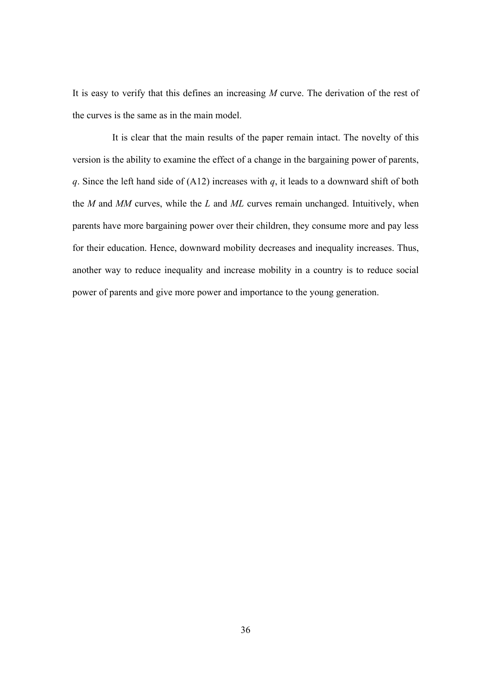It is easy to verify that this defines an increasing *M* curve. The derivation of the rest of the curves is the same as in the main model.

It is clear that the main results of the paper remain intact. The novelty of this version is the ability to examine the effect of a change in the bargaining power of parents, *q*. Since the left hand side of (A12) increases with *q*, it leads to a downward shift of both the *M* and *MM* curves, while the *L* and *ML* curves remain unchanged. Intuitively, when parents have more bargaining power over their children, they consume more and pay less for their education. Hence, downward mobility decreases and inequality increases. Thus, another way to reduce inequality and increase mobility in a country is to reduce social power of parents and give more power and importance to the young generation.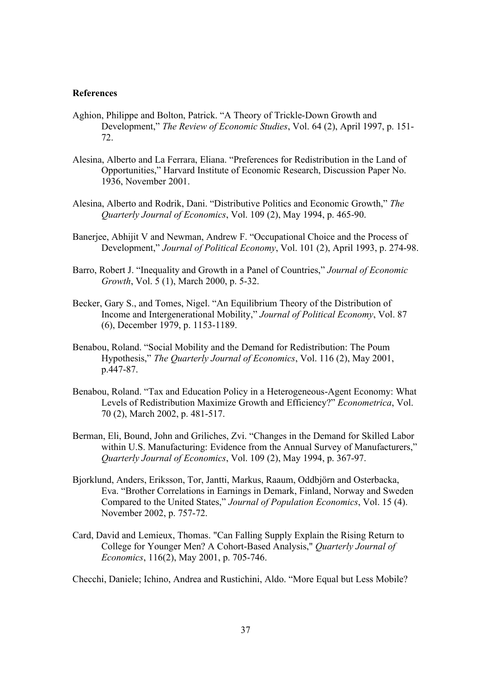# **References**

- Aghion, Philippe and Bolton, Patrick. "A Theory of Trickle-Down Growth and Development," *The Review of Economic Studies*, Vol. 64 (2), April 1997, p. 151- 72.
- Alesina, Alberto and La Ferrara, Eliana. "Preferences for Redistribution in the Land of Opportunities," Harvard Institute of Economic Research, Discussion Paper No. 1936, November 2001.
- Alesina, Alberto and Rodrik, Dani. "Distributive Politics and Economic Growth," *The Quarterly Journal of Economics*, Vol. 109 (2), May 1994, p. 465-90.
- Banerjee, Abhijit V and Newman, Andrew F. "Occupational Choice and the Process of Development," *Journal of Political Economy*, Vol. 101 (2), April 1993, p. 274-98.
- Barro, Robert J. "Inequality and Growth in a Panel of Countries," *Journal of Economic Growth*, Vol. 5 (1), March 2000, p. 5-32.
- Becker, Gary S., and Tomes, Nigel. "An Equilibrium Theory of the Distribution of Income and Intergenerational Mobility," *Journal of Political Economy*, Vol. 87 (6), December 1979, p. 1153-1189.
- Benabou, Roland. "Social Mobility and the Demand for Redistribution: The Poum Hypothesis," *The Quarterly Journal of Economics*, Vol. 116 (2), May 2001, p.447-87.
- Benabou, Roland. "Tax and Education Policy in a Heterogeneous-Agent Economy: What Levels of Redistribution Maximize Growth and Efficiency?" *Econometrica*, Vol. 70 (2), March 2002, p. 481-517.
- Berman, Eli, Bound, John and Griliches, Zvi. "Changes in the Demand for Skilled Labor within U.S. Manufacturing: Evidence from the Annual Survey of Manufacturers," *Quarterly Journal of Economics*, Vol. 109 (2), May 1994, p. 367-97.
- Bjorklund, Anders, Eriksson, Tor, Jantti, Markus, Raaum, Oddbjörn and Osterbacka, Eva. "Brother Correlations in Earnings in Demark, Finland, Norway and Sweden Compared to the United States," *Journal of Population Economics*, Vol. 15 (4). November 2002, p. 757-72.
- Card, David and Lemieux, Thomas. "Can Falling Supply Explain the Rising Return to College for Younger Men? A Cohort-Based Analysis," *Quarterly Journal of Economics*, 116(2), May 2001, p. 705-746.
- Checchi, Daniele; Ichino, Andrea and Rustichini, Aldo. "More Equal but Less Mobile?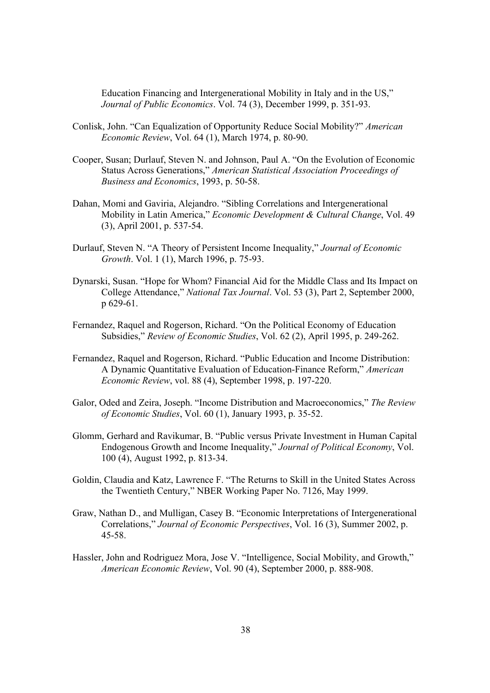Education Financing and Intergenerational Mobility in Italy and in the US," *Journal of Public Economics*. Vol. 74 (3), December 1999, p. 351-93.

- Conlisk, John. "Can Equalization of Opportunity Reduce Social Mobility?" *American Economic Review*, Vol. 64 (1), March 1974, p. 80-90.
- Cooper, Susan; Durlauf, Steven N. and Johnson, Paul A. "On the Evolution of Economic Status Across Generations," *American Statistical Association Proceedings of Business and Economics*, 1993, p. 50-58.
- Dahan, Momi and Gaviria, Alejandro. "Sibling Correlations and Intergenerational Mobility in Latin America," *Economic Development & Cultural Change*, Vol. 49 (3), April 2001, p. 537-54.
- Durlauf, Steven N. "A Theory of Persistent Income Inequality," *Journal of Economic Growth*. Vol. 1 (1), March 1996, p. 75-93.
- Dynarski, Susan. "Hope for Whom? Financial Aid for the Middle Class and Its Impact on College Attendance," *National Tax Journal*. Vol. 53 (3), Part 2, September 2000, p 629-61.
- Fernandez, Raquel and Rogerson, Richard. "On the Political Economy of Education Subsidies," *Review of Economic Studies*, Vol. 62 (2), April 1995, p. 249-262.
- Fernandez, Raquel and Rogerson, Richard. "Public Education and Income Distribution: A Dynamic Quantitative Evaluation of Education-Finance Reform," *American Economic Review*, vol. 88 (4), September 1998, p. 197-220.
- Galor, Oded and Zeira, Joseph. "Income Distribution and Macroeconomics," *The Review of Economic Studies*, Vol. 60 (1), January 1993, p. 35-52.
- Glomm, Gerhard and Ravikumar, B. "Public versus Private Investment in Human Capital Endogenous Growth and Income Inequality," *Journal of Political Economy*, Vol. 100 (4), August 1992, p. 813-34.
- Goldin, Claudia and Katz, Lawrence F. "The Returns to Skill in the United States Across the Twentieth Century," NBER Working Paper No. 7126, May 1999.
- Graw, Nathan D., and Mulligan, Casey B. "Economic Interpretations of Intergenerational Correlations," *Journal of Economic Perspectives*, Vol. 16 (3), Summer 2002, p. 45-58.
- Hassler, John and Rodriguez Mora, Jose V. "Intelligence, Social Mobility, and Growth," *American Economic Review*, Vol. 90 (4), September 2000, p. 888-908.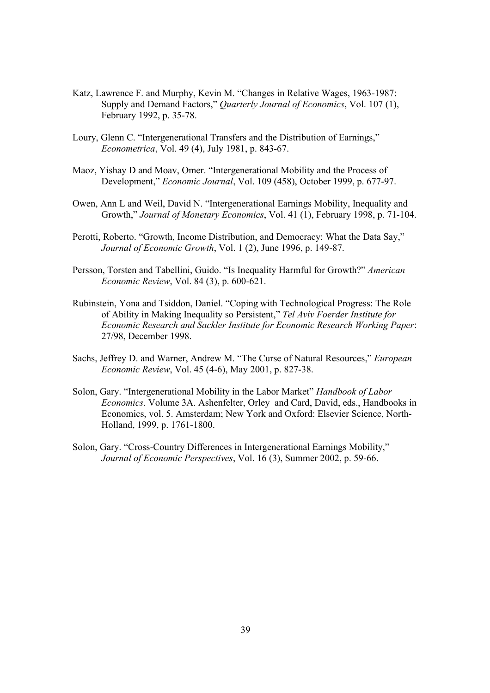- Katz, Lawrence F. and Murphy, Kevin M. "Changes in Relative Wages, 1963-1987: Supply and Demand Factors," *Quarterly Journal of Economics*, Vol. 107 (1), February 1992, p. 35-78.
- Loury, Glenn C. "Intergenerational Transfers and the Distribution of Earnings," *Econometrica*, Vol. 49 (4), July 1981, p. 843-67.
- Maoz, Yishay D and Moav, Omer. "Intergenerational Mobility and the Process of Development," *Economic Journal*, Vol. 109 (458), October 1999, p. 677-97.
- Owen, Ann L and Weil, David N. "Intergenerational Earnings Mobility, Inequality and Growth," *Journal of Monetary Economics*, Vol. 41 (1), February 1998, p. 71-104.
- Perotti, Roberto. "Growth, Income Distribution, and Democracy: What the Data Say," *Journal of Economic Growth*, Vol. 1 (2), June 1996, p. 149-87.
- Persson, Torsten and Tabellini, Guido. "Is Inequality Harmful for Growth?" *American Economic Review*, Vol. 84 (3), p. 600-621.
- Rubinstein, Yona and Tsiddon, Daniel. "Coping with Technological Progress: The Role of Ability in Making Inequality so Persistent," *Tel Aviv Foerder Institute for Economic Research and Sackler Institute for Economic Research Working Paper*: 27/98, December 1998.
- Sachs, Jeffrey D. and Warner, Andrew M. "The Curse of Natural Resources," *European Economic Review*, Vol. 45 (4-6), May 2001, p. 827-38.
- Solon, Gary. "Intergenerational Mobility in the Labor Market" *Handbook of Labor Economics*. Volume 3A. Ashenfelter, Orley and Card, David, eds., Handbooks in Economics, vol. 5. Amsterdam; New York and Oxford: Elsevier Science, North-Holland, 1999, p. 1761-1800.
- Solon, Gary. "Cross-Country Differences in Intergenerational Earnings Mobility," *Journal of Economic Perspectives*, Vol. 16 (3), Summer 2002, p. 59-66.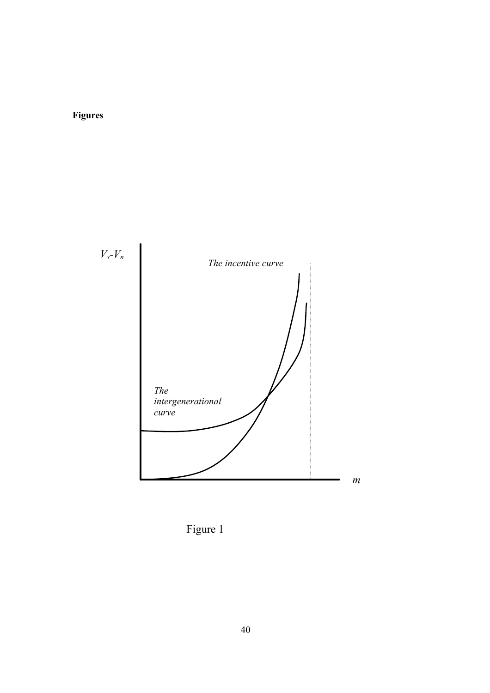# **Figures**



Figure 1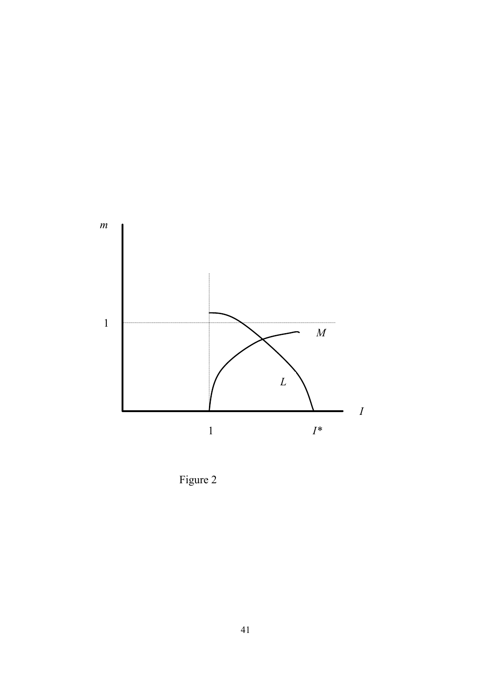

Figure 2